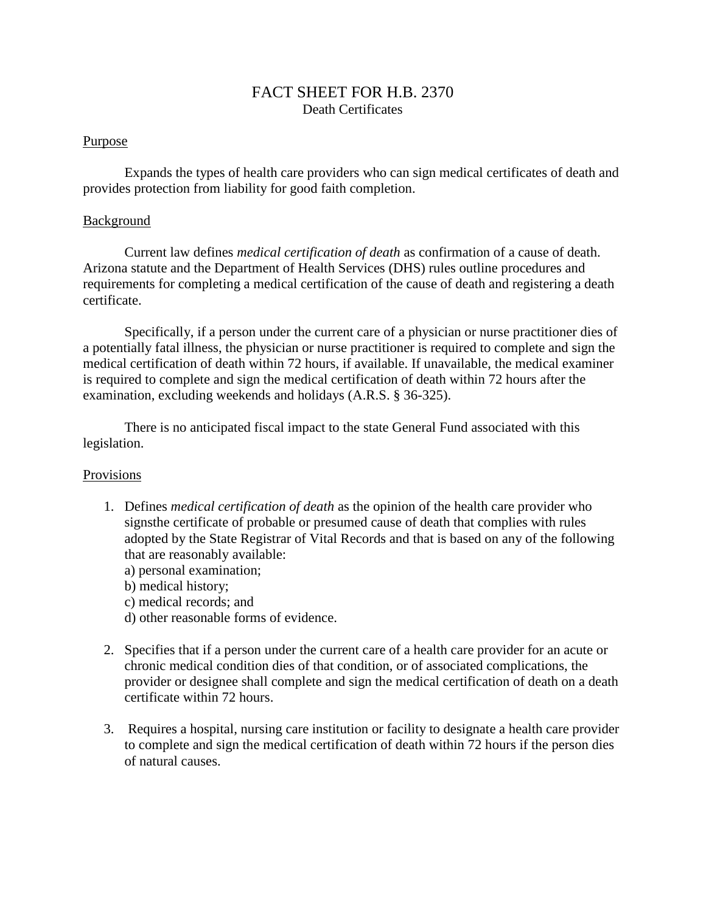## FACT SHEET FOR H.B. 2370 Death Certificates

## Purpose

Expands the types of health care providers who can sign medical certificates of death and provides protection from liability for good faith completion.

## **Background**

Current law defines *medical certification of death* as confirmation of a cause of death. Arizona statute and the Department of Health Services (DHS) rules outline procedures and requirements for completing a medical certification of the cause of death and registering a death certificate.

Specifically, if a person under the current care of a physician or nurse practitioner dies of a potentially fatal illness, the physician or nurse practitioner is required to complete and sign the medical certification of death within 72 hours, if available. If unavailable, the medical examiner is required to complete and sign the medical certification of death within 72 hours after the examination, excluding weekends and holidays (A.R.S. § 36-325).

There is no anticipated fiscal impact to the state General Fund associated with this legislation.

## Provisions

- 1. Defines *medical certification of death* as the opinion of the health care provider who signsthe certificate of probable or presumed cause of death that complies with rules adopted by the State Registrar of Vital Records and that is based on any of the following that are reasonably available:
	- a) personal examination;
	- b) medical history;
	- c) medical records; and
	- d) other reasonable forms of evidence.
- 2. Specifies that if a person under the current care of a health care provider for an acute or chronic medical condition dies of that condition, or of associated complications, the provider or designee shall complete and sign the medical certification of death on a death certificate within 72 hours.
- 3. Requires a hospital, nursing care institution or facility to designate a health care provider to complete and sign the medical certification of death within 72 hours if the person dies of natural causes.